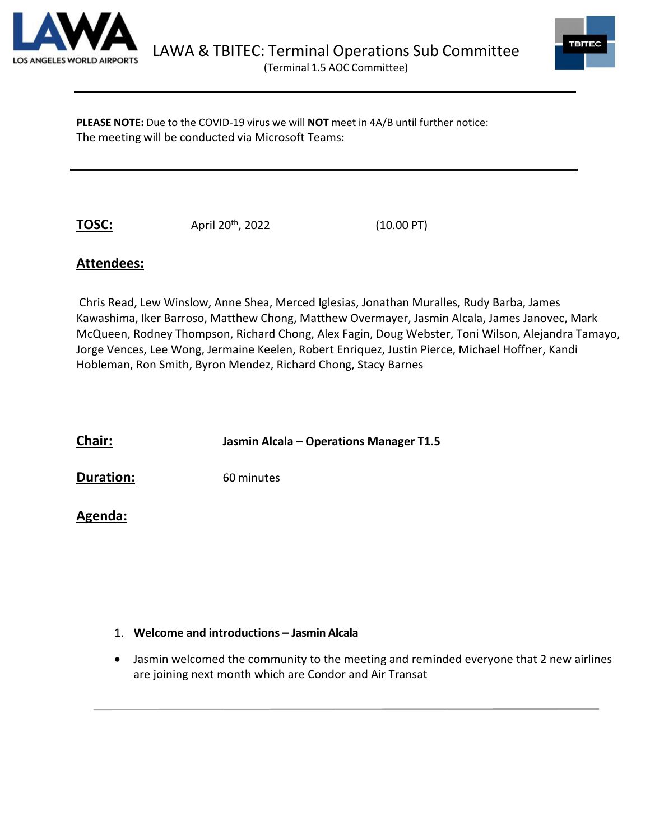



**PLEASE NOTE:** Due to the COVID-19 virus we will **NOT** meet in 4A/B until further notice: The meeting will be conducted via Microsoft Teams:

**TOSC:** April 20<sup>th</sup>, 2022 (10.00 PT)

# **Attendees:**

Chris Read, Lew Winslow, Anne Shea, Merced Iglesias, Jonathan Muralles, Rudy Barba, James Kawashima, Iker Barroso, Matthew Chong, Matthew Overmayer, Jasmin Alcala, James Janovec, Mark McQueen, Rodney Thompson, Richard Chong, Alex Fagin, Doug Webster, Toni Wilson, Alejandra Tamayo, Jorge Vences, Lee Wong, Jermaine Keelen, Robert Enriquez, Justin Pierce, Michael Hoffner, Kandi Hobleman, Ron Smith, Byron Mendez, Richard Chong, Stacy Barnes

**Chair: Jasmin Alcala – Operations Manager T1.5 Duration:** 60 minutes

## **Agenda:**

### 1. **Welcome and introductions – Jasmin Alcala**

• Jasmin welcomed the community to the meeting and reminded everyone that 2 new airlines are joining next month which are Condor and Air Transat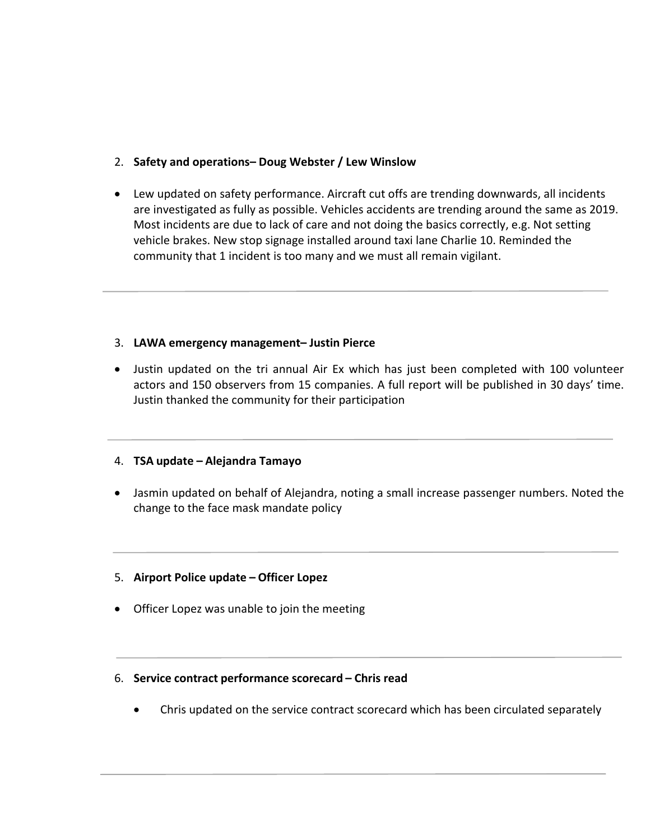### 2. **Safety and operations– Doug Webster / Lew Winslow**

• Lew updated on safety performance. Aircraft cut offs are trending downwards, all incidents are investigated as fully as possible. Vehicles accidents are trending around the same as 2019. Most incidents are due to lack of care and not doing the basics correctly, e.g. Not setting vehicle brakes. New stop signage installed around taxi lane Charlie 10. Reminded the community that 1 incident is too many and we must all remain vigilant.

#### 3. **LAWA emergency management– Justin Pierce**

• Justin updated on the tri annual Air Ex which has just been completed with 100 volunteer actors and 150 observers from 15 companies. A full report will be published in 30 days' time. Justin thanked the community for their participation

#### 4. **TSA update – Alejandra Tamayo**

- Jasmin updated on behalf of Alejandra, noting a small increase passenger numbers. Noted the change to the face mask mandate policy
- 5. **Airport Police update – Officer Lopez**
- Officer Lopez was unable to join the meeting
- 6. **Service contract performance scorecard – Chris read**
	- Chris updated on the service contract scorecard which has been circulated separately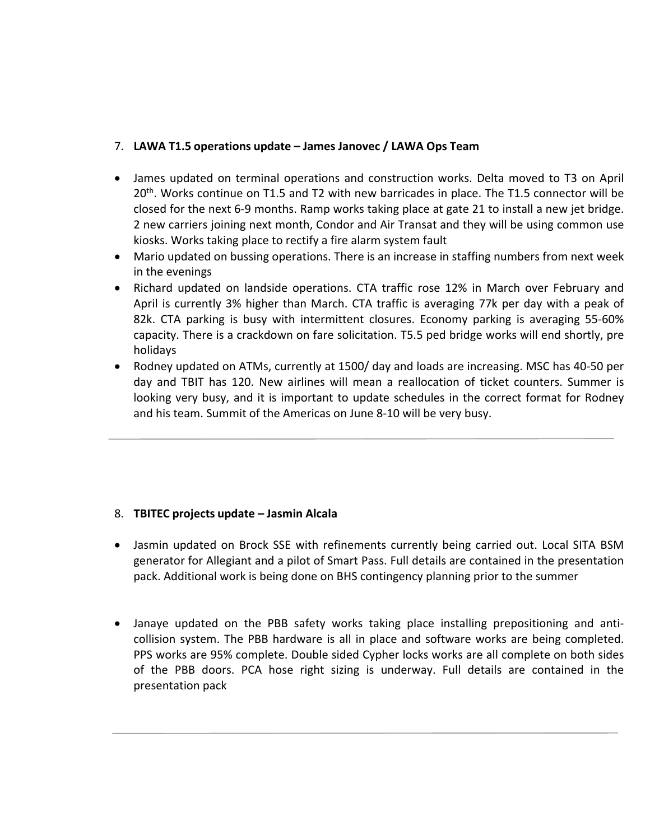#### 7. **LAWA T1.5 operations update – James Janovec / LAWA Ops Team**

- James updated on terminal operations and construction works. Delta moved to T3 on April  $20<sup>th</sup>$ . Works continue on T1.5 and T2 with new barricades in place. The T1.5 connector will be closed for the next 6-9 months. Ramp works taking place at gate 21 to install a new jet bridge. 2 new carriers joining next month, Condor and Air Transat and they will be using common use kiosks. Works taking place to rectify a fire alarm system fault
- Mario updated on bussing operations. There is an increase in staffing numbers from next week in the evenings
- Richard updated on landside operations. CTA traffic rose 12% in March over February and April is currently 3% higher than March. CTA traffic is averaging 77k per day with a peak of 82k. CTA parking is busy with intermittent closures. Economy parking is averaging 55-60% capacity. There is a crackdown on fare solicitation. T5.5 ped bridge works will end shortly, pre holidays
- Rodney updated on ATMs, currently at 1500/ day and loads are increasing. MSC has 40-50 per day and TBIT has 120. New airlines will mean a reallocation of ticket counters. Summer is looking very busy, and it is important to update schedules in the correct format for Rodney and his team. Summit of the Americas on June 8-10 will be very busy.

### 8. **TBITEC projects update – Jasmin Alcala**

- Jasmin updated on Brock SSE with refinements currently being carried out. Local SITA BSM generator for Allegiant and a pilot of Smart Pass. Full details are contained in the presentation pack. Additional work is being done on BHS contingency planning prior to the summer
- Janaye updated on the PBB safety works taking place installing prepositioning and anticollision system. The PBB hardware is all in place and software works are being completed. PPS works are 95% complete. Double sided Cypher locks works are all complete on both sides of the PBB doors. PCA hose right sizing is underway. Full details are contained in the presentation pack